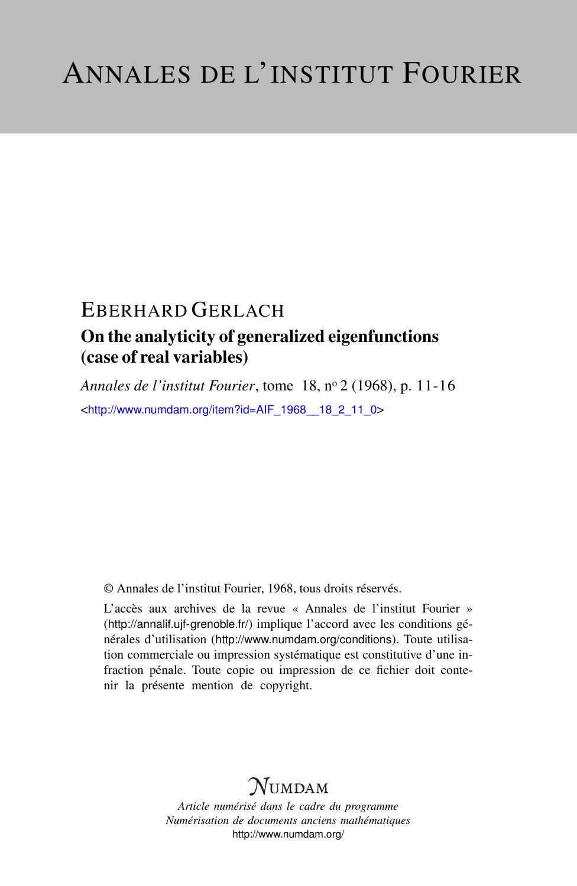## EBERHARD GERLACH

### On the analyticity of generalized eigenfunctions (case of real variables)

*Annales de l'institut Fourier*, tome 18, n<sup>o</sup> 2 (1968), p. 11-16 <[http://www.numdam.org/item?id=AIF\\_1968\\_\\_18\\_2\\_11\\_0](http://www.numdam.org/item?id=AIF_1968__18_2_11_0)>

© Annales de l'institut Fourier, 1968, tous droits réservés.

L'accès aux archives de la revue « Annales de l'institut Fourier » (<http://annalif.ujf-grenoble.fr/>) implique l'accord avec les conditions générales d'utilisation (<http://www.numdam.org/conditions>). Toute utilisation commerciale ou impression systématique est constitutive d'une infraction pénale. Toute copie ou impression de ce fichier doit contenir la présente mention de copyright.

# NUMDAM

*Article numérisé dans le cadre du programme Numérisation de documents anciens mathématiques* <http://www.numdam.org/>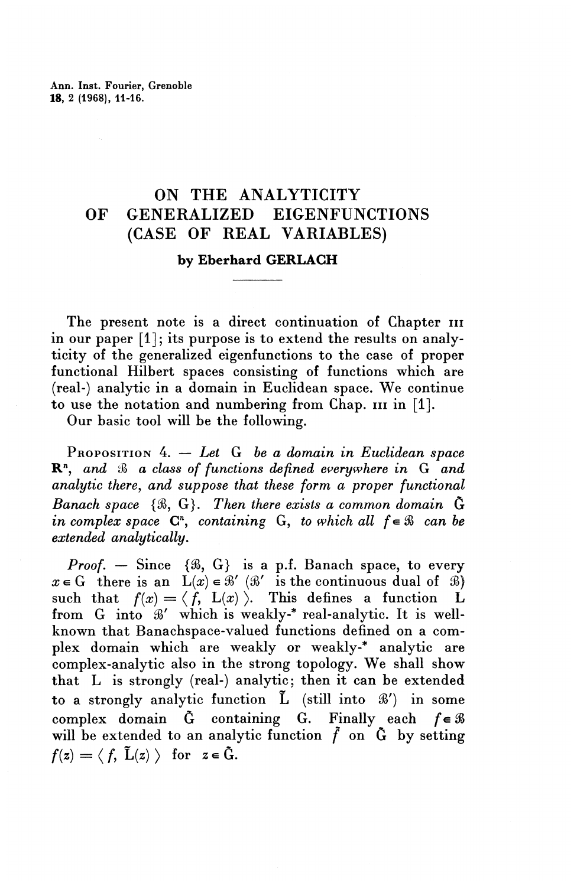### ON THE ANALYTICITY OF GENERALIZED EIGENFUNCTIONS (CASE OF REAL VARIABLES)

#### **by Eberhard GERLACH**

The present note is a direct continuation of Chapter in in our paper  $[1]$ ; its purpose is to extend the results on analyticity of the generalized eigenfunctions to the case of proper functional Hilbert spaces consisting of functions which are (real-) analytic in a domain in Euclidean space. We continue to use the notation and numbering from Chap. in in [1].

Our basic tool will be the following.

PROPOSITION 4. — *Let G be a domain in Euclidean space* **R",** *and S> a class of functions defined everywhere in* G *and analytic there, and suppose that these form a proper functional Banach space* {%, G}. *Then there exists a common domain* G *in complex space*  $C<sup>n</sup>$ , *containing* G, *to which all*  $f \in \mathcal{B}$  *can be extended analytically.*

*Proof.* – Since  $\{\Re, G\}$  is a p.f. Banach space, to every  $x \in G$  there is an  $L(x) \in \mathcal{B}'$  ( $\mathcal{B}'$  is the continuous dual of  $\mathcal{B}$ ) such that  $f(x) = \langle f, L(x) \rangle$ . This defines a function L from G into  $\mathcal{B}'$  which is weakly-\* real-analytic. It is wellknown that Banachspace-valued functions defined on a complex domain which are weakly or weakly-\* analytic are complex-analytic also in the strong topology. We shall show that L is strongly (real-) analytic; then it can be extended to a strongly analytic function  $\tilde{L}$  (still into  $\mathcal{B}'$ ) in some complex domain  $\tilde{G}$  containing G. Finally each  $f \in \mathcal{B}$ will be extended to an analytic function  $\tilde{f}$  on  $\tilde{G}$  by setting  $f(z)=\langle f, \tilde{L}(z)\rangle$  for  $z\in\tilde{G}$ .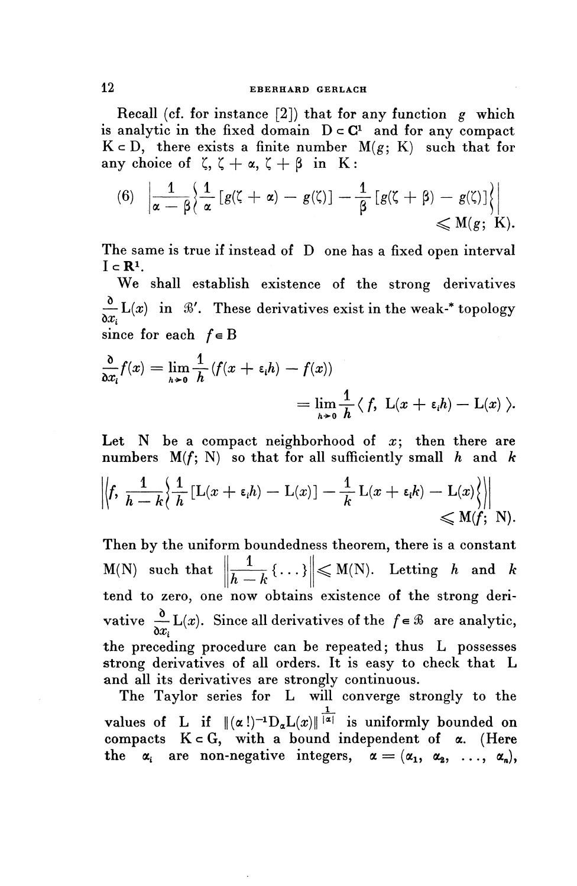Recall (cf. for instance [2]) that for any function *g* which is analytic in the fixed domain  $D \subset \mathbb{C}^1$  and for any compact  $K \subset D$ , there exists a finite number  $M(g; K)$  such that for any choice of  $\zeta$ ,  $\zeta + \alpha$ ,  $\zeta + \beta$  in K:

(6) 
$$
\left| \frac{1}{\alpha - \beta} \left\{ \frac{1}{\alpha} \left[ g(\zeta + \alpha) - g(\zeta) \right] - \frac{1}{\beta} \left[ g(\zeta + \beta) - g(\zeta) \right] \right\} \right| \le M(g; K).
$$

The same is true if instead of D one has a fixed open interval  $I \subset \mathbb{R}^1$ .

We shall establish existence of the strong derivatives  $\frac{\partial}{\partial x_i}$  L(x) in  $\mathcal{B}'$ . These derivatives exist in the weak-\* topology since for each *fe*<sup>B</sup>

$$
\frac{\partial}{\partial x_i} f(x) = \lim_{h \to 0} \frac{1}{h} (f(x + \varepsilon_i h) - f(x))
$$
  
= 
$$
\lim_{h \to 0} \frac{1}{h} \langle f, L(x + \varepsilon_i h) - L(x) \rangle.
$$

Let  $N$  be a compact neighborhood of  $x$ ; then there are numbers  $M(f; N)$  so that for all sufficiently small h and k

$$
\left\|\n\left\langle f, \ \frac{1}{h-k}\n\left\{\n\frac{1}{h}\left[L(x+\varepsilon_i h) - L(x)\right] - \frac{1}{k} L(x+\varepsilon_i k) - L(x)\n\right\}\n\right\|\n\leq M(f; N).
$$

Then by the uniform boundedness theorem, there is a constant  $M(N)$  such that  $\left\| \frac{1}{h-k} \{ \ldots \} \right\| \leqslant M(N)$ . Letting h and k tend to zero, one now obtains existence of the strong derivative  $\frac{\partial}{\partial x_i} L(x)$ . Since all derivatives of the  $f \in \mathcal{B}$  are analytic, the preceding procedure can be repeated; thus L possesses strong derivatives of all orders. It is easy to check that L and all its derivatives are strongly continuous.

The Taylor series for L will converge strongly to the i<br>1 values of L if  $\|(\alpha\,!)^{-1}D_{\alpha}L(x)\|^{|\alpha|}$  is uniformly bounded on compacts  $K \subset G$ , with a bound independent of  $\alpha$ . (Here the  $\alpha_i$  are non-negative integers,  $\alpha = (\alpha_1, \alpha_2, \ldots, \alpha_n)$ ,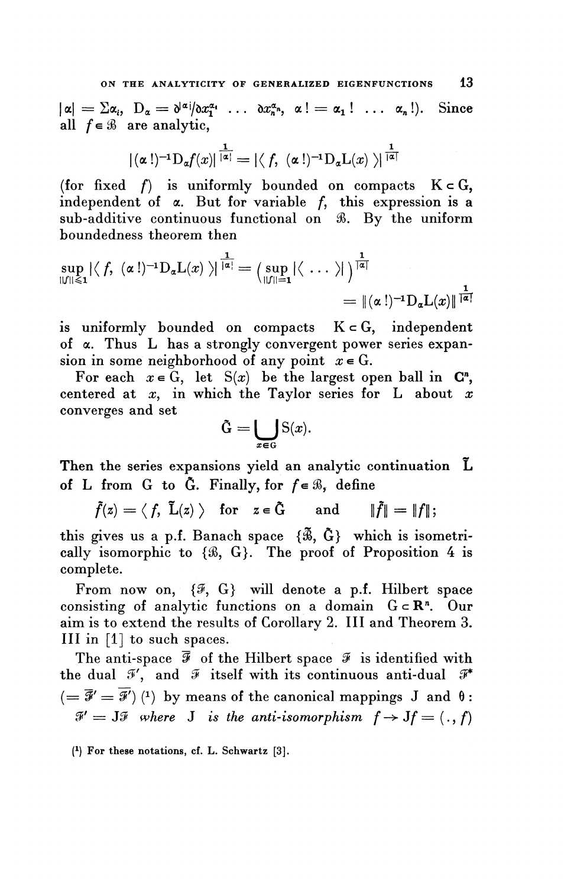$|\alpha| = \sum \alpha_i$ ,  $D_\alpha = \frac{\partial^{|\alpha|}}{\partial x_i^{\alpha_1}} \dots \frac{\partial x_n^{\alpha_n}}{\partial x_n^{\alpha_n}} \alpha! = \alpha_1! \dots \alpha_n!$ . Since all  $f \in \mathcal{B}$  are analytic,

$$
|(\alpha\,!)^{-1} \mathcal{D}_\alpha f(x)|^{\frac{1}{|\alpha|}}=|\langle\, f,\ (\alpha\,!)^{-1} \mathcal{D}_\alpha \mathcal{L}(x)\ \rangle|^{\frac{1}{|\alpha|}}
$$

(for fixed f) is uniformly bounded on compacts  $K \subset G$ , independent of  $\alpha$ . But for variable f, this expression is a sub-additive continuous functional on %. By the uniform boundedness theorem then

$$
\sup_{||f||\leqslant 1} |\langle f, \ (\alpha!)^{-1} \mathrm{D}_{\alpha} \mathrm{L}(x) \ \rangle|^{\frac{1}{|\alpha|}} = \left( \sup_{||f||=1} |\langle \ \ldots \ \rangle| \ \right)^{\frac{1}{|\alpha|}}
$$

$$
= \| (\alpha!)^{-1} \mathrm{D}_{\alpha} \mathrm{L}(x) \|^{\frac{1}{|\alpha|}}
$$

is uniformly bounded on compacts  $K \subset G$ , independent of a. Thus L has a strongly convergent power series expansion in some neighborhood of any point  $x \in G$ .

For each  $x \in G$ , let  $S(x)$  be the largest open ball in  $C<sup>n</sup>$ , centered at *x,* in which the Taylor series for L about *x* converges and set

$$
\tilde{\mathbf{G}} = \bigcup_{x \in \mathbf{G}} \mathbf{S}(x).
$$

Then the series expansions yield an analytic continuation L of L from G to  $\tilde{G}$ . Finally, for  $f \in \mathcal{B}$ , define

$$
\tilde{f}(z) = \langle f, \tilde{L}(z) \rangle
$$
 for  $z \in \tilde{G}$  and  $\|\tilde{f}\| = \|f\|$ ;

this gives us a p.f. Banach space  $\{\tilde{\mathcal{B}}, \tilde{\mathbf{G}}\}$  which is isometrically isomorphic to {%, G}. The proof of Proposition 4 is complete.

From now on,  $\{\mathcal{F}, G\}$  will denote a p.f. Hilbert space consisting of analytic functions on a domain  $G \subset \mathbb{R}^n$ . Our aim is to extend the results of Corollary 2. Ill and Theorem 3. Ill in [1] to such spaces.

The anti-space  $\bar{\mathcal{F}}$  of the Hilbert space  $\bar{\mathcal{F}}$  is identified with the dual  $\mathcal{I}'$ , and  $\mathcal{I}$  itself with its continuous anti-dual  $\mathcal{I}^*$  $( = \bar{\mathcal{F}}' = \bar{\mathcal{F}}')$  (1) by means of the canonical mappings J and  $\theta$ :  $\mathcal{F}' = J\mathcal{F}$  where J is the anti-isomorphism  $f \rightarrow Jf = (., f)$ 

( 1 ) For these notations, cf. L. Schwartz [3].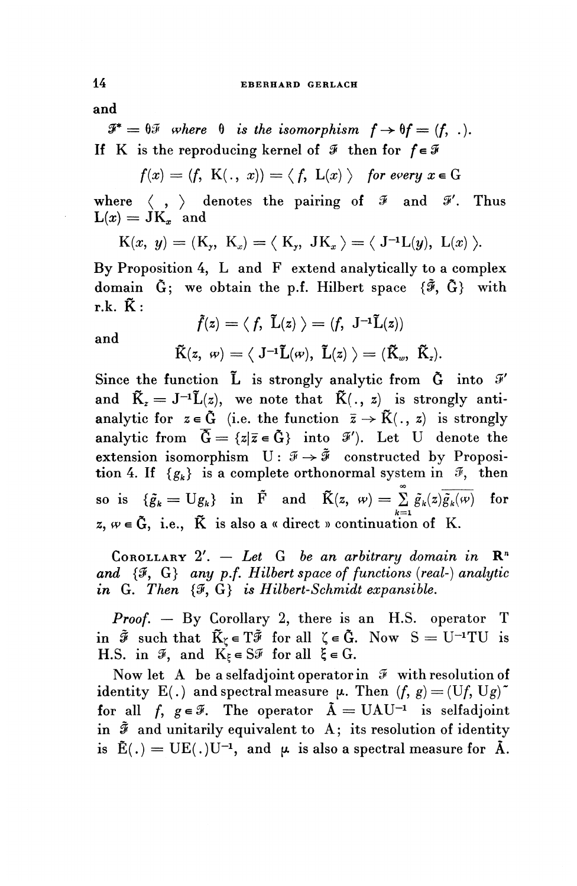**and**

 $\mathscr{F}^* = \mathscr{F}$  where  $\mathscr{F}$  is the isomorphism  $f \to \mathscr{F} = (f, \ldots).$ If K is the reproducing kernel of  $\mathcal F$  then for  $f \in \mathcal F$ 

$$
f(x) = (f, K(., x)) = \langle f, L(x) \rangle
$$
 for every  $x \in G$ 

where  $\langle , \rangle$  denotes the pairing of  $\mathcal{F}$  and  $\mathcal{F}'$ . Thus  $L(x) = \dot{J}K_x$  and

$$
K(x, y) = (K_y, K_x) = \langle K_y, JK_x \rangle = \langle J^{-1}L(y), L(x) \rangle.
$$

By Proposition 4, L and F extend analytically to a complex domain  $\tilde{G}$ ; we obtain the p.f. Hilbert space  $\{\tilde{\mathcal{F}}, \tilde{G}\}\$  with  $r.k.$   $\tilde{K}$ :

$$
\begin{array}{c}\tilde{f}(z)=\langle\ f,\ \tilde{L}(z)\ \rangle=(f,\ \mathrm{J}^{-1}\tilde{L}(z))\\ \\ \tilde{K}(z,\ \omega)=\langle\ \mathrm{J}^{-1}\tilde{L}(\omega),\ \tilde{L}(z)\ \rangle=(\widetilde{K}_{\omega},\ \tilde{K}_{z}).\end{array}
$$

**and**

Since the function L is strongly analytic from G into *9'* and  $\tilde{K}_z = J^{-1}\tilde{L}(z)$ , we note that  $\tilde{K}(\cdot, z)$  is strongly antianalytic for  $z \in \tilde{G}$  (i.e. the function  $\bar{z} \to \tilde{K}(. , z)$  is strongly analytic from  $\overline{\tilde{G}} = \{z | \overline{z} \in \tilde{G} \}$  into  $\mathscr{F}'$ ). Let U denote the extension isomorphism  $U: \mathcal{F} \rightarrow \tilde{\mathcal{F}}$  constructed by Proposition 4. If  ${g_k}$  is a complete orthonormal system in  $\mathcal{F}$ , then so is  $\{\tilde{g}_k = Ug_k\}$  in  $\tilde{F}$  and  $\tilde{K}(z, w) = \sum_{k=0}^{\infty} \tilde{g}_k(z)\overline{\tilde{g}_k(w)}$  for  $A \cdot B \cdot B$  . The set of the set of the set of the set of the set of the set of the set of the set of the set of the set of the set of the set of the set of the set of the set of the set of the set of the set of the set of  $z, w \in \tilde{G}$ , i.e.,  $\tilde{K}$  is also a « direct » continuation of K.

COROLLARY 2'. — *Let G be an arbitrary domain in* R" *and {9^* G} *any p.f. Hilbert space of functions {real-} analytic in* G. *Then {9,* G} *is Hilbert-Schmidt expansible.*

*Proof.* — By Corollary 2, there is an H.S. operator T in  $\tilde{\mathcal{F}}$  such that  $\tilde{K}_{\zeta} \in T\tilde{\mathcal{F}}$  for all  $\zeta \in \tilde{G}$ . Now  $S = U^{-1}TU$  is H.S. in  $\mathcal{F}$ , and  $K_{\xi} \in S\mathcal{F}$  for all  $\xi \in G$ .

Now let A be a selfadjoint operator in  $\mathcal F$  with resolution of identity E(.) and spectral measure  $\mu$ . Then  $(f, g) = (Uf, Ug)^{\sim}$ for all f,  $g \in \mathcal{F}$ . The operator  $\tilde{A} = \text{UAU}^{-1}$  is selfadjoint in  $\tilde{x}$  and unitarily equivalent to A; its resolution of identity is  $\tilde{E}(.)=UE(.)U^{-1}$ , and  $\mu$  is also a spectral measure for  $\tilde{A}$ .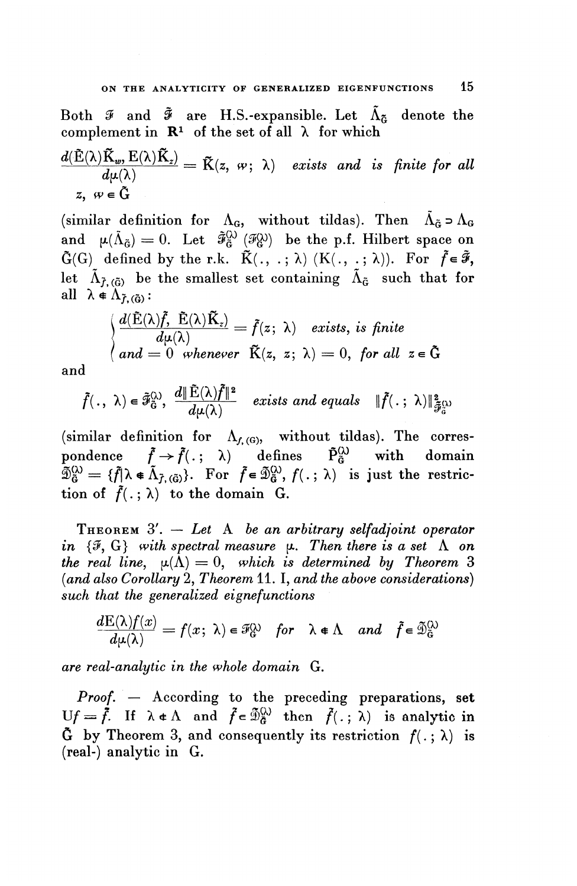Both  $\mathcal{F}$  and  $\tilde{\mathcal{F}}$  are H.S.-expansible. Let  $\tilde{\Lambda}_{\tilde{\alpha}}$  denote the

complement in 
$$
\mathbf{R}^1
$$
 of the set of all  $\lambda$  for which  
\n
$$
\frac{d(\tilde{E}(\lambda)\tilde{K}_w, E(\lambda)\tilde{K}_z)}{d\mu(\lambda)} = \tilde{K}(z, w; \lambda) \text{ exists and is finite for all}
$$
\n
$$
z, w \in \tilde{G}
$$

(similar definition for  $\Lambda_{\mathbf{G}}$ , without tildas). Then  $\tilde{\Lambda}_{\tilde{\mathbf{G}}} \supset \Lambda_{\mathbf{G}}$ and  $\mu(\tilde{\Lambda}_{\tilde{\sigma}}) = 0$ . Let  $\tilde{\mathcal{F}}_{\tilde{\sigma}}^{(\lambda)}$  ( $\tilde{\mathcal{F}}_{\tilde{\sigma}}^{(\lambda)}$ ) be the p.f. Hilbert space on  $\tilde{G}(G)$  defined by the r.k.  $\tilde{K}(\cdot, \cdot; \lambda)$   $(K(\cdot, \cdot; \lambda))$ . For  $\tilde{f} \in \tilde{\mathcal{F}},$ let  $\tilde{\Lambda}_{\tilde{L}(\tilde{G})}$  be the smallest set containing  $\tilde{\Lambda}_{\tilde{G}}$  such that for all  $\lambda \notin \Lambda_{\tilde{L}(\tilde{G})}$ :

$$
\begin{aligned}\n\oint_{\tilde{f},(\tilde{G})}^{K} \mathbf{E}(\lambda) \cdot \tilde{f}(\tilde{K}_{z}) &= \tilde{f}(z; \lambda) \quad \text{exists, is finite} \\
\frac{d(\tilde{E}(\lambda)\tilde{f}, \tilde{E}(\lambda)\tilde{K}_{z})}{d\mu(\lambda)} &= \tilde{f}(z; \lambda) \quad \text{exists, is finite} \\
\end{aligned}
$$

and

$$
\tilde{f}(\cdot, \lambda) \in \tilde{\mathcal{F}}_{\tilde{\mathbf{G}}}^{(\lambda)}, \frac{d \|\tilde{\mathbf{E}}(\lambda)\tilde{f}\|^2}{d\mu(\lambda)} \quad exists \ and \ equals \quad \|\tilde{f}(\cdot; \lambda)\|_{\tilde{\mathcal{F}}_{\tilde{\mathbf{G}}}^{(\lambda)}}
$$

(similar definition for  $\Lambda_{f, (G)}$ , without tildas). The corres-(similar definition for  $\Lambda_{f,(G)}$ , without tildas). The corres-<br>pondence  $\tilde{f} \rightarrow \tilde{f}(.; \lambda)$  defines  $\tilde{P}_{\tilde{G}}^{(\lambda)}$  with domain pondence  $I \to I(.)$ ;  $\lambda$  defines  $F_{\tilde{G}}$  with domain  $\tilde{\mathfrak{D}}_{\tilde{G}}^{(k)} = \{f|\lambda \in \tilde{\Lambda}_{\tilde{I},(\tilde{G})}\}$ . For  $\tilde{f} \in \tilde{\mathfrak{D}}_{\tilde{G}}^{(k)}$ ,  $f(.; \lambda)$  is just the restriction of  $\tilde{f}(\cdot; \lambda)$  to the domain G.

THEOREM 3'. — *Let* A *be an arbitrary selfadjoint operator in*  $\{F, G\}$  with spectral measure  $\mu$ . Then there is a set  $\Lambda$  on *the real line,*  $\mu(\bar{\Lambda}) = 0$ *, which is determined by Theorem 3 (and also Corollary* 2, *Theorem* 11. I, *and the above considerations*)<br> *such that the generalized eignefunctions*<br>  $\frac{dE(\lambda)f(x)}{du(\lambda)} = f(x; \lambda) \in \mathcal{F}_G^{\lambda}$  *for*  $\lambda \notin \Lambda$  *and*  $\tilde{f} \in \tilde{\mathcal{D}}_G^{\lambda}$ *such that the generalized eigne functions*

$$
\frac{dE(\lambda)f(x)}{d\mu(\lambda)} = f(x; \lambda) \in \mathcal{F}_G^{\lambda} \quad \text{for} \quad \lambda \in \Lambda \quad \text{and} \quad \tilde{f} \in \tilde{\mathcal{D}}_G^{\lambda}
$$

*are real-analytic in the whole domain* G.

*Proof. —* According to the preceding preparations, set  $Uf = \dot{f}$ . If  $\lambda \in \Lambda$  and  $\ddot{f} \in \tilde{\mathbb{D}}_G^{\mathbb{Q}}$  then  $\ddot{f}(\cdot; \lambda)$  is analytic in  $\tilde{G}$  by Theorem 3, and consequently its restriction  $f(.; \lambda)$  is (real-) analytic in G.